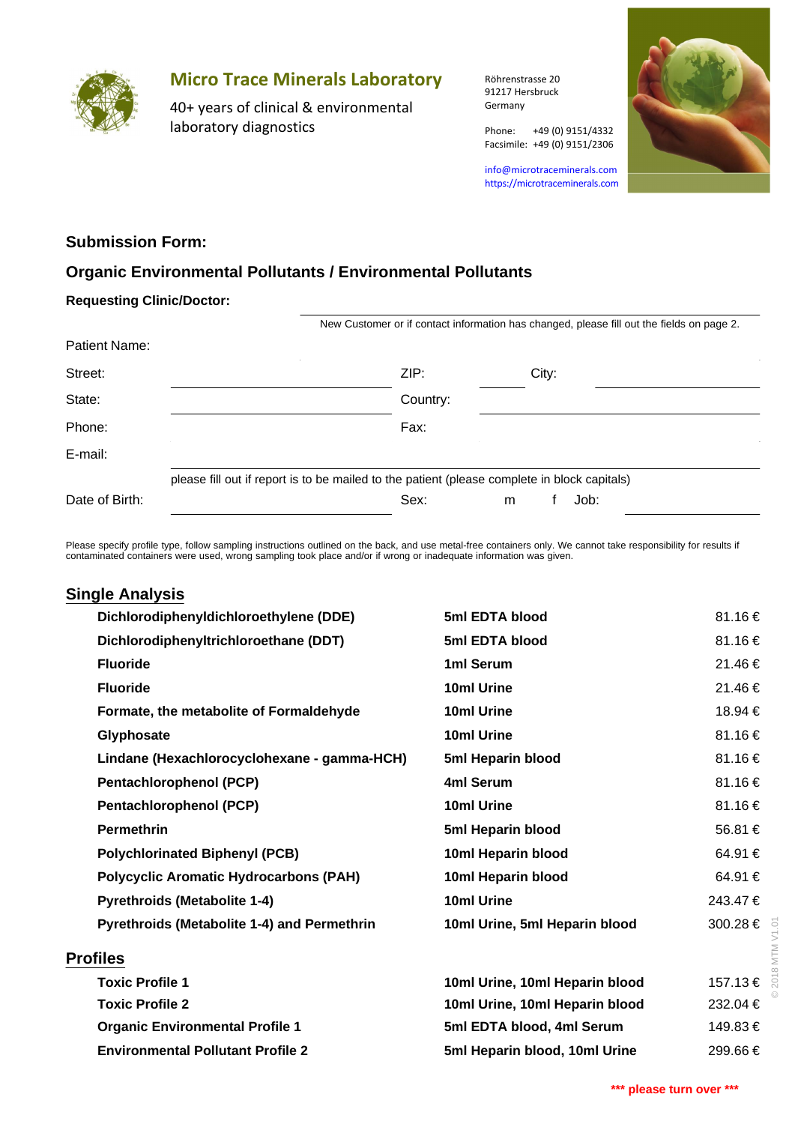

# **Micro Trace Minerals Laboratory**

40+ years of clinical & environmental laboratory diagnostics

Röhrenstrasse 20 91217 Hersbruck Germany

Phone: +49 (0) 9151/4332

info@microtraceminerals.com <https://microtraceminerals.com>

Facsimile: +49 (0) 9151/2306



### **Submission Form:**

### **Organic Environmental Pollutants / Environmental Pollutants**

#### **Requesting Clinic/Doctor:**

|                | New Customer or if contact information has changed, please fill out the fields on page 2.    |          |   |       |      |  |  |  |  |  |  |
|----------------|----------------------------------------------------------------------------------------------|----------|---|-------|------|--|--|--|--|--|--|
| Patient Name:  |                                                                                              |          |   |       |      |  |  |  |  |  |  |
| Street:        |                                                                                              | ZIP:     |   | City: |      |  |  |  |  |  |  |
| State:         |                                                                                              | Country: |   |       |      |  |  |  |  |  |  |
| Phone:         |                                                                                              | Fax:     |   |       |      |  |  |  |  |  |  |
| E-mail:        |                                                                                              |          |   |       |      |  |  |  |  |  |  |
|                | please fill out if report is to be mailed to the patient (please complete in block capitals) |          |   |       |      |  |  |  |  |  |  |
| Date of Birth: |                                                                                              | Sex:     | m |       | Job: |  |  |  |  |  |  |

Please specify profile type, follow sampling instructions outlined on the back, and use metal-free containers only. We cannot take responsibility for results if contaminated containers were used, wrong sampling took place and/or if wrong or inadequate information was given.

## **Single Analysis**

| Dichlorodiphenyldichloroethylene (DDE)             | 5ml EDTA blood                 | 81.16€          |
|----------------------------------------------------|--------------------------------|-----------------|
| Dichlorodiphenyltrichloroethane (DDT)              | 5ml EDTA blood                 | 81.16 €         |
| <b>Fluoride</b>                                    | 1ml Serum                      | 21.46 €         |
| <b>Fluoride</b>                                    | 10ml Urine                     | 21.46€          |
| Formate, the metabolite of Formaldehyde            | 10ml Urine                     | 18.94 €         |
| Glyphosate                                         | 10ml Urine                     | 81.16 €         |
| Lindane (Hexachlorocyclohexane - gamma-HCH)        | 5ml Heparin blood              | 81.16 €         |
| <b>Pentachlorophenol (PCP)</b>                     | 4ml Serum                      | 81.16€          |
| <b>Pentachlorophenol (PCP)</b>                     | 10ml Urine                     | 81.16€          |
| <b>Permethrin</b>                                  | 5ml Heparin blood              | 56.81 €         |
| <b>Polychlorinated Biphenyl (PCB)</b>              | 10ml Heparin blood             | 64.91 €         |
| <b>Polycyclic Aromatic Hydrocarbons (PAH)</b>      | 10ml Heparin blood             | 64.91 €         |
| <b>Pyrethroids (Metabolite 1-4)</b>                | 10ml Urine                     | 243.47€         |
| <b>Pyrethroids (Metabolite 1-4) and Permethrin</b> | 10ml Urine, 5ml Heparin blood  | 300.28 €<br>ō.  |
| <b>Profiles</b>                                    |                                | MTM             |
| <b>Toxic Profile 1</b>                             | 10ml Urine, 10ml Heparin blood | 201<br>157.13 € |
| <b>Toxic Profile 2</b>                             | 10ml Urine, 10ml Heparin blood | 232.04 €        |
| <b>Organic Environmental Profile 1</b>             | 5ml EDTA blood, 4ml Serum      | 149.83 €        |
| <b>Environmental Pollutant Profile 2</b>           | 5ml Heparin blood, 10ml Urine  | 299.66€         |